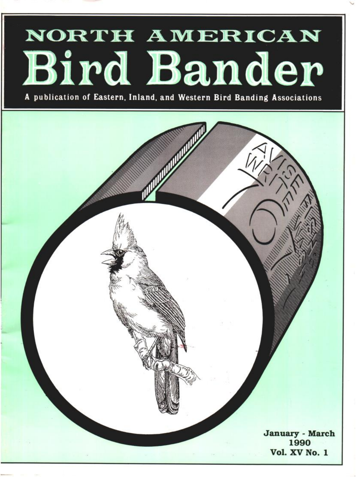## NORTH AMERICAN Bird Bander

**publication of Eastern, Inland, and Western Bird Banding Associations** 

**January - March 1990 Vol. XV No. I**